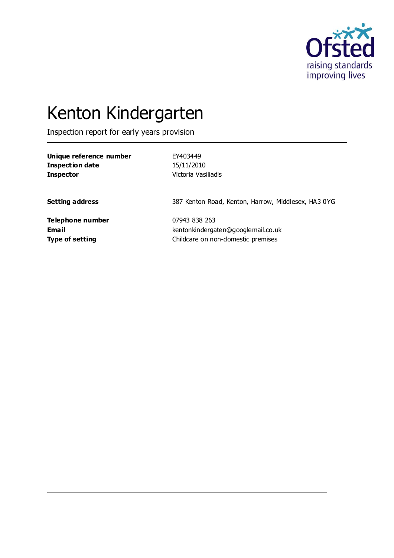

# Kenton Kindergarten

Inspection report for early years provision

| Unique reference number | EY403449                                            |
|-------------------------|-----------------------------------------------------|
| <b>Inspection date</b>  | 15/11/2010                                          |
| <b>Inspector</b>        | Victoria Vasiliadis                                 |
| <b>Setting address</b>  | 387 Kenton Road, Kenton, Harrow, Middlesex, HA3 0YG |
| Telephone number        | 07943 838 263                                       |
| <b>Email</b>            | kentonkindergaten@googlemail.co.uk                  |
| <b>Type of setting</b>  | Childcare on non-domestic premises                  |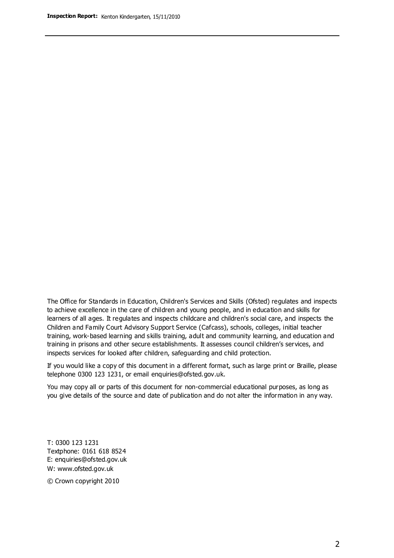The Office for Standards in Education, Children's Services and Skills (Ofsted) regulates and inspects to achieve excellence in the care of children and young people, and in education and skills for learners of all ages. It regulates and inspects childcare and children's social care, and inspects the Children and Family Court Advisory Support Service (Cafcass), schools, colleges, initial teacher training, work-based learning and skills training, adult and community learning, and education and training in prisons and other secure establishments. It assesses council children's services, and inspects services for looked after children, safeguarding and child protection.

If you would like a copy of this document in a different format, such as large print or Braille, please telephone 0300 123 1231, or email enquiries@ofsted.gov.uk.

You may copy all or parts of this document for non-commercial educational purposes, as long as you give details of the source and date of publication and do not alter the information in any way.

T: 0300 123 1231 Textphone: 0161 618 8524 E: enquiries@ofsted.gov.uk W: [www.ofsted.gov.uk](http://www.ofsted.gov.uk/)

© Crown copyright 2010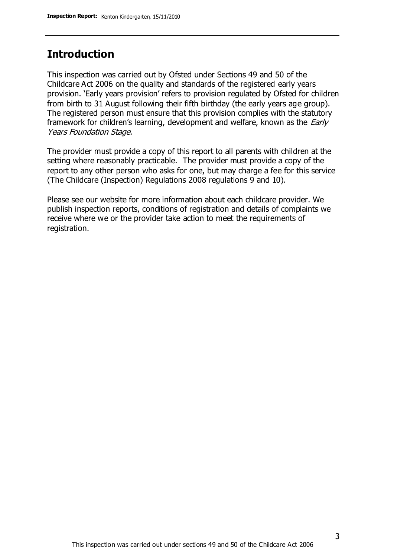# **Introduction**

This inspection was carried out by Ofsted under Sections 49 and 50 of the Childcare Act 2006 on the quality and standards of the registered early years provision. 'Early years provision' refers to provision regulated by Ofsted for children from birth to 31 August following their fifth birthday (the early years age group). The registered person must ensure that this provision complies with the statutory framework for children's learning, development and welfare, known as the *Early* Years Foundation Stage.

The provider must provide a copy of this report to all parents with children at the setting where reasonably practicable. The provider must provide a copy of the report to any other person who asks for one, but may charge a fee for this service (The Childcare (Inspection) Regulations 2008 regulations 9 and 10).

Please see our website for more information about each childcare provider. We publish inspection reports, conditions of registration and details of complaints we receive where we or the provider take action to meet the requirements of registration.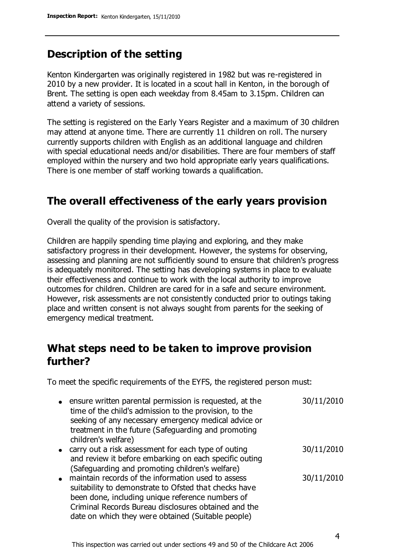# **Description of the setting**

Kenton Kindergarten was originally registered in 1982 but was re-registered in 2010 by a new provider. It is located in a scout hall in Kenton, in the borough of Brent. The setting is open each weekday from 8.45am to 3.15pm. Children can attend a variety of sessions.

The setting is registered on the Early Years Register and a maximum of 30 children may attend at anyone time. There are currently 11 children on roll. The nursery currently supports children with English as an additional language and children with special educational needs and/or disabilities. There are four members of staff employed within the nursery and two hold appropriate early years qualifications. There is one member of staff working towards a qualification.

# **The overall effectiveness of the early years provision**

Overall the quality of the provision is satisfactory.

Children are happily spending time playing and exploring, and they make satisfactory progress in their development. However, the systems for observing, assessing and planning are not sufficiently sound to ensure that children's progress is adequately monitored. The setting has developing systems in place to evaluate their effectiveness and continue to work with the local authority to improve outcomes for children. Children are cared for in a safe and secure environment. However, risk assessments are not consistently conducted prior to outings taking place and written consent is not always sought from parents for the seeking of emergency medical treatment.

# **What steps need to be taken to improve provision further?**

To meet the specific requirements of the EYFS, the registered person must:

- ensure written parental permission is requested, at the time of the child's admission to the provision, to the seeking of any necessary emergency medical advice or treatment in the future (Safeguarding and promoting children's welfare) 30/11/2010 30/11/2010
- carry out a risk assessment for each type of outing and review it before embarking on each specific outing (Safeguarding and promoting children's welfare)
- maintain records of the information used to assess suitability to demonstrate to Ofsted that checks have been done, including unique reference numbers of Criminal Records Bureau disclosures obtained and the date on which they were obtained (Suitable people) 30/11/2010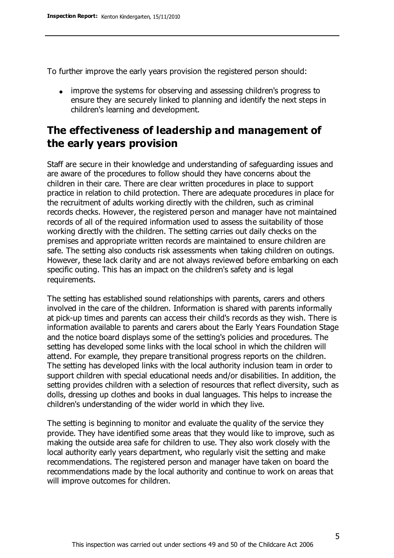To further improve the early years provision the registered person should:

• improve the systems for observing and assessing children's progress to ensure they are securely linked to planning and identify the next steps in children's learning and development.

# **The effectiveness of leadership and management of the early years provision**

Staff are secure in their knowledge and understanding of safeguarding issues and are aware of the procedures to follow should they have concerns about the children in their care. There are clear written procedures in place to support practice in relation to child protection. There are adequate procedures in place for the recruitment of adults working directly with the children, such as criminal records checks. However, the registered person and manager have not maintained records of all of the required information used to assess the suitability of those working directly with the children. The setting carries out daily checks on the premises and appropriate written records are maintained to ensure children are safe. The setting also conducts risk assessments when taking children on outings. However, these lack clarity and are not always reviewed before embarking on each specific outing. This has an impact on the children's safety and is legal requirements.

The setting has established sound relationships with parents, carers and others involved in the care of the children. Information is shared with parents informally at pick-up times and parents can access their child's records as they wish. There is information available to parents and carers about the Early Years Foundation Stage and the notice board displays some of the setting's policies and procedures. The setting has developed some links with the local school in which the children will attend. For example, they prepare transitional progress reports on the children. The setting has developed links with the local authority inclusion team in order to support children with special educational needs and/or disabilities. In addition, the setting provides children with a selection of resources that reflect diversity, such as dolls, dressing up clothes and books in dual languages. This helps to increase the children's understanding of the wider world in which they live.

The setting is beginning to monitor and evaluate the quality of the service they provide. They have identified some areas that they would like to improve, such as making the outside area safe for children to use. They also work closely with the local authority early years department, who regularly visit the setting and make recommendations. The registered person and manager have taken on board the recommendations made by the local authority and continue to work on areas that will improve outcomes for children.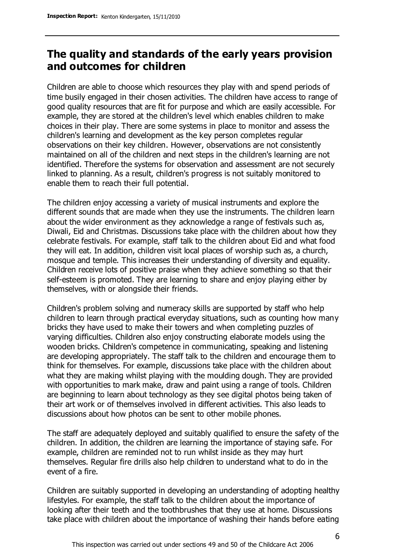# **The quality and standards of the early years provision and outcomes for children**

Children are able to choose which resources they play with and spend periods of time busily engaged in their chosen activities. The children have access to range of good quality resources that are fit for purpose and which are easily accessible. For example, they are stored at the children's level which enables children to make choices in their play. There are some systems in place to monitor and assess the children's learning and development as the key person completes regular observations on their key children. However, observations are not consistently maintained on all of the children and next steps in the children's learning are not identified. Therefore the systems for observation and assessment are not securely linked to planning. As a result, children's progress is not suitably monitored to enable them to reach their full potential.

The children enjoy accessing a variety of musical instruments and explore the different sounds that are made when they use the instruments. The children learn about the wider environment as they acknowledge a range of festivals such as, Diwali, Eid and Christmas. Discussions take place with the children about how they celebrate festivals. For example, staff talk to the children about Eid and what food they will eat. In addition, children visit local places of worship such as, a church, mosque and temple. This increases their understanding of diversity and equality. Children receive lots of positive praise when they achieve something so that their self-esteem is promoted. They are learning to share and enjoy playing either by themselves, with or alongside their friends.

Children's problem solving and numeracy skills are supported by staff who help children to learn through practical everyday situations, such as counting how many bricks they have used to make their towers and when completing puzzles of varying difficulties. Children also enjoy constructing elaborate models using the wooden bricks. Children's competence in communicating, speaking and listening are developing appropriately. The staff talk to the children and encourage them to think for themselves. For example, discussions take place with the children about what they are making whilst playing with the moulding dough. They are provided with opportunities to mark make, draw and paint using a range of tools. Children are beginning to learn about technology as they see digital photos being taken of their art work or of themselves involved in different activities. This also leads to discussions about how photos can be sent to other mobile phones.

The staff are adequately deployed and suitably qualified to ensure the safety of the children. In addition, the children are learning the importance of staying safe. For example, children are reminded not to run whilst inside as they may hurt themselves. Regular fire drills also help children to understand what to do in the event of a fire.

Children are suitably supported in developing an understanding of adopting healthy lifestyles. For example, the staff talk to the children about the importance of looking after their teeth and the toothbrushes that they use at home. Discussions take place with children about the importance of washing their hands before eating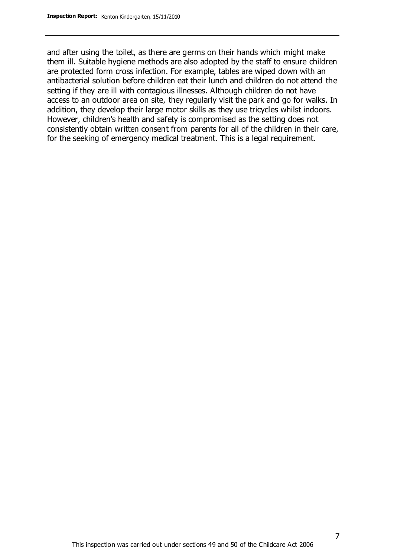and after using the toilet, as there are germs on their hands which might make them ill. Suitable hygiene methods are also adopted by the staff to ensure children are protected form cross infection. For example, tables are wiped down with an antibacterial solution before children eat their lunch and children do not attend the setting if they are ill with contagious illnesses. Although children do not have access to an outdoor area on site, they regularly visit the park and go for walks. In addition, they develop their large motor skills as they use tricycles whilst indoors. However, children's health and safety is compromised as the setting does not consistently obtain written consent from parents for all of the children in their care, for the seeking of emergency medical treatment. This is a legal requirement.